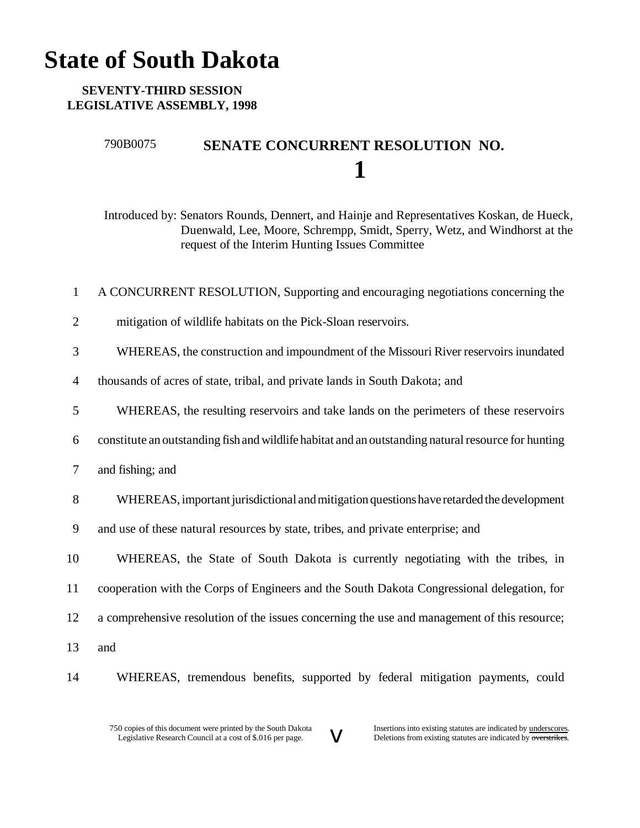## **State of South Dakota**

## **SEVENTY-THIRD SESSION LEGISLATIVE ASSEMBLY, 1998**

## 790B0075 **SENATE CONCURRENT RESOLUTION NO. 1**

Introduced by: Senators Rounds, Dennert, and Hainje and Representatives Koskan, de Hueck, Duenwald, Lee, Moore, Schrempp, Smidt, Sperry, Wetz, and Windhorst at the request of the Interim Hunting Issues Committee

- 1 A CONCURRENT RESOLUTION, Supporting and encouraging negotiations concerning the
- 2 mitigation of wildlife habitats on the Pick-Sloan reservoirs.
- 3 WHEREAS, the construction and impoundment of the Missouri River reservoirs inundated
- 4 thousands of acres of state, tribal, and private lands in South Dakota; and
- 5 WHEREAS, the resulting reservoirs and take lands on the perimeters of these reservoirs
- 6 constitute an outstanding fish andwildlife habitat and an outstanding naturalresource for hunting
- 7 and fishing; and
- 8 WHEREAS, important jurisdictional and mitigation questions have retarded the development
- 9 and use of these natural resources by state, tribes, and private enterprise; and
- 10 WHEREAS, the State of South Dakota is currently negotiating with the tribes, in 11 cooperation with the Corps of Engineers and the South Dakota Congressional delegation, for 12 a comprehensive resolution of the issues concerning the use and management of this resource; 13 and
- 
- 14 WHEREAS, tremendous benefits, supported by federal mitigation payments, could